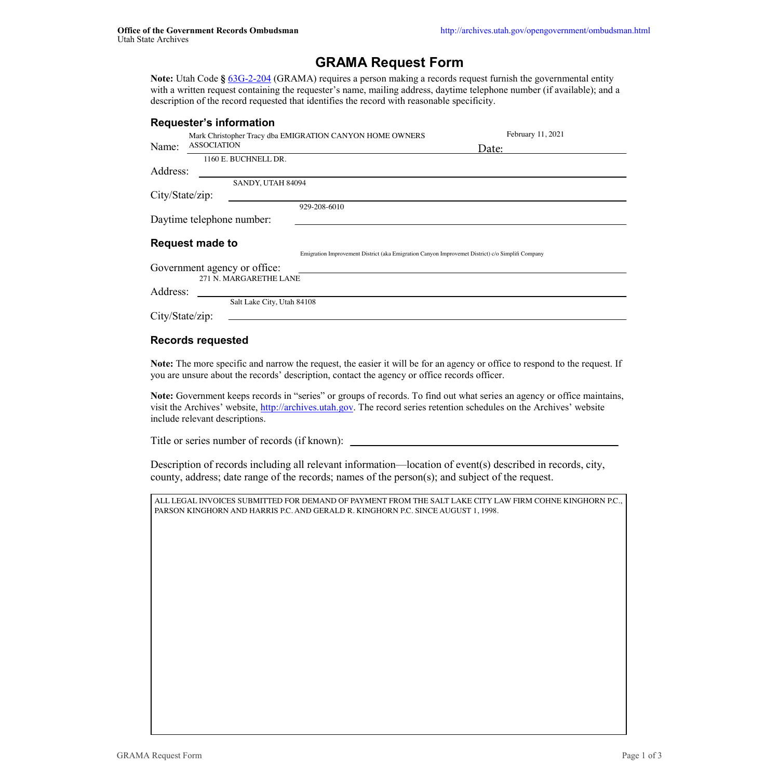# **GRAMA Request Form**

**Note:** Utah Code **§** 63G-2-204 (GRAMA) requires a person making a records request furnish the governmental entity with a written request containing the requester's name, mailing address, daytime telephone number (if available); and a description of the record requested that identifies the record with reasonable specificity.

#### **Requester's information**

City/State/zip:

## **Records requested**

**Note:** The more specific and narrow the request, the easier it will be for an agency or office to respond to the request. If you are unsure about the records' description, contact the agency or office records officer.

**Note:** Government keeps records in "series" or groups of records. To find out what series an agency or office maintains, visit the Archives' website, http://archives.utah.gov. The record series retention schedules on the Archives' website include relevant descriptions.

Title or series number of records (if known):

| Name:                        | <b>ASSOCIATION</b> |                      | February 11, 2021<br>Mark Christopher Tracy dba EMIGRATION CANYON HOME OWNERS<br>Date:           |  |  |
|------------------------------|--------------------|----------------------|--------------------------------------------------------------------------------------------------|--|--|
|                              |                    | 1160 E. BUCHNELL DR. |                                                                                                  |  |  |
| Address:                     |                    |                      |                                                                                                  |  |  |
|                              |                    | SANDY, UTAH 84094    |                                                                                                  |  |  |
| City/State/zip:              |                    |                      |                                                                                                  |  |  |
|                              |                    |                      | 929-208-6010                                                                                     |  |  |
| Daytime telephone number:    |                    |                      |                                                                                                  |  |  |
|                              |                    |                      |                                                                                                  |  |  |
| <b>Request made to</b>       |                    |                      |                                                                                                  |  |  |
|                              |                    |                      | Emigration Improvement District (aka Emigration Canyon Improvemet District) c/o Simplifi Company |  |  |
| Government agency or office: |                    |                      |                                                                                                  |  |  |
| 271 N. MARGARETHE LANE       |                    |                      |                                                                                                  |  |  |

Description of records including all relevant information—location of event(s) described in records, city, county, address; date range of the records; names of the person(s); and subject of the request.

**Details about the requester**

Salt Lake City, Utah 84108

ALL LEGAL INVOICES SUBMITTED FOR DEMAND OF PAYMENT FROM THE SALT LAKE CITY LAW FIRM COHNE KINGHORN P.C., PARSON KINGHORN AND HARRIS P.C. AND GERALD R. KINGHORN P.C. SINCE AUGUST 1, 1998.

GRAMA Request Form Page 1 of 3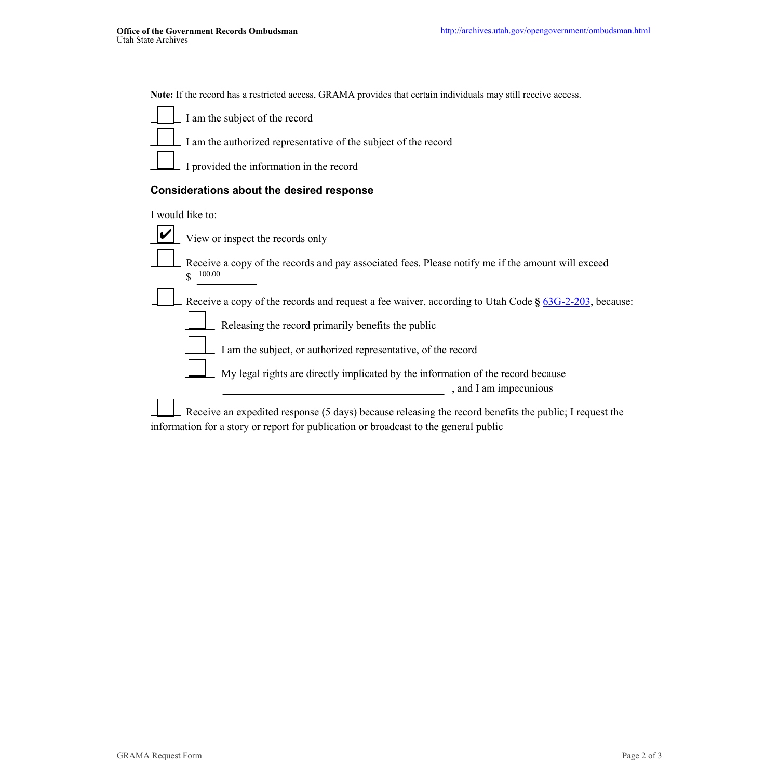**Note:** If the record has a restricted access, GRAMA provides that certain individuals may still receive access.

I am the subject of the record

I am the authorized representative of the subject of the record

I provided the information in the record

# **Considerations about the desired response**

I would like to:

View or inspect the records only



Receive a copy of the records and pay associated fees. Please notify me if the amount will exceed

Receive a copy of the records and request a fee waiver, according to Utah Code **§** 63G-2-203, because:

Releasing the record primarily benefits the public

I am the subject, or authorized representative, of the record

My legal rights are directly implicated by the information of the record because , and I am impecunious

\$ 100.00

Receive an expedited response (5 days) because releasing the record benefits the public; I request the information for a story or report for publication or broadcast to the general public

GRAMA Request Form Page 2 of 3